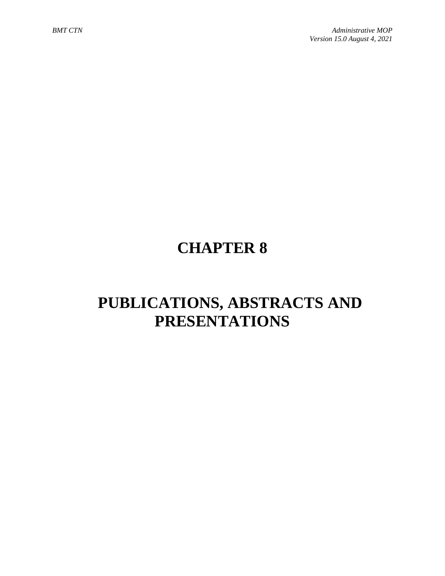# **CHAPTER 8**

# **PUBLICATIONS, ABSTRACTS AND PRESENTATIONS**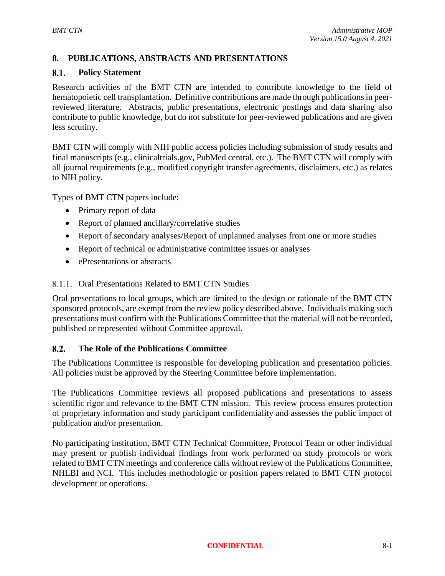# **8. PUBLICATIONS, ABSTRACTS AND PRESENTATIONS**

#### $8.1.$ **Policy Statement**

Research activities of the BMT CTN are intended to contribute knowledge to the field of hematopoietic cell transplantation. Definitive contributions are made through publications in peerreviewed literature. Abstracts, public presentations, electronic postings and data sharing also contribute to public knowledge, but do not substitute for peer-reviewed publications and are given less scrutiny.

BMT CTN will comply with NIH public access policies including submission of study results and final manuscripts (e.g., clinicaltrials.gov, PubMed central, etc.). The BMT CTN will comply with all journal requirements (e.g., modified copyright transfer agreements, disclaimers, etc.) as relates to NIH policy.

Types of BMT CTN papers include:

- Primary report of data
- Report of planned ancillary/correlative studies
- Report of secondary analyses/Report of unplanned analyses from one or more studies
- Report of technical or administrative committee issues or analyses
- ePresentations or abstracts

# 8.1.1. Oral Presentations Related to BMT CTN Studies

Oral presentations to local groups, which are limited to the design or rationale of the BMT CTN sponsored protocols, are exempt from the review policy described above. Individuals making such presentations must confirm with the Publications Committee that the material will not be recorded, published or represented without Committee approval.

#### **The Role of the Publications Committee**  $8.2.$

The Publications Committee is responsible for developing publication and presentation policies. All policies must be approved by the Steering Committee before implementation.

The Publications Committee reviews all proposed publications and presentations to assess scientific rigor and relevance to the BMT CTN mission. This review process ensures protection of proprietary information and study participant confidentiality and assesses the public impact of publication and/or presentation.

No participating institution, BMT CTN Technical Committee, Protocol Team or other individual may present or publish individual findings from work performed on study protocols or work related to BMT CTN meetings and conference calls without review of the Publications Committee, NHLBI and NCI. This includes methodologic or position papers related to BMT CTN protocol development or operations.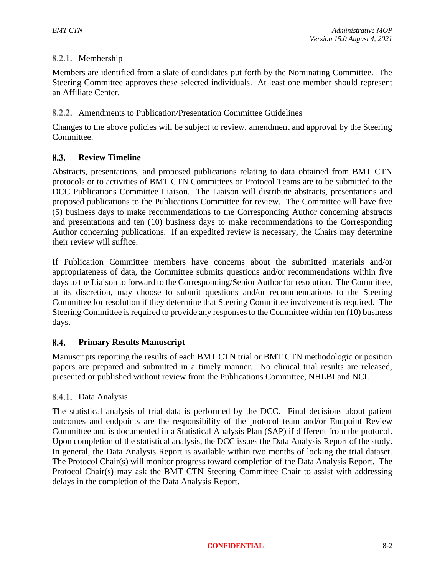# 8.2.1. Membership

Members are identified from a slate of candidates put forth by the Nominating Committee. The Steering Committee approves these selected individuals. At least one member should represent an Affiliate Center.

# Amendments to Publication/Presentation Committee Guidelines

Changes to the above policies will be subject to review, amendment and approval by the Steering Committee.

### 8.3. **Review Timeline**

Abstracts, presentations, and proposed publications relating to data obtained from BMT CTN protocols or to activities of BMT CTN Committees or Protocol Teams are to be submitted to the DCC Publications Committee Liaison. The Liaison will distribute abstracts, presentations and proposed publications to the Publications Committee for review. The Committee will have five (5) business days to make recommendations to the Corresponding Author concerning abstracts and presentations and ten (10) business days to make recommendations to the Corresponding Author concerning publications. If an expedited review is necessary, the Chairs may determine their review will suffice.

If Publication Committee members have concerns about the submitted materials and/or appropriateness of data, the Committee submits questions and/or recommendations within five days to the Liaison to forward to the Corresponding/Senior Author for resolution. The Committee, at its discretion, may choose to submit questions and/or recommendations to the Steering Committee for resolution if they determine that Steering Committee involvement is required. The Steering Committee is required to provide any responses to the Committee within ten (10) business days.

### $8.4.$ **Primary Results Manuscript**

Manuscripts reporting the results of each BMT CTN trial or BMT CTN methodologic or position papers are prepared and submitted in a timely manner. No clinical trial results are released, presented or published without review from the Publications Committee, NHLBI and NCI.

# 8.4.1. Data Analysis

The statistical analysis of trial data is performed by the DCC. Final decisions about patient outcomes and endpoints are the responsibility of the protocol team and/or Endpoint Review Committee and is documented in a Statistical Analysis Plan (SAP) if different from the protocol. Upon completion of the statistical analysis, the DCC issues the Data Analysis Report of the study. In general, the Data Analysis Report is available within two months of locking the trial dataset. The Protocol Chair(s) will monitor progress toward completion of the Data Analysis Report. The Protocol Chair(s) may ask the BMT CTN Steering Committee Chair to assist with addressing delays in the completion of the Data Analysis Report.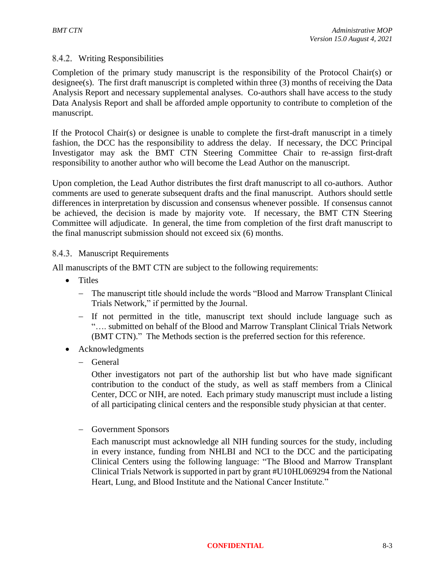### Writing Responsibilities

Completion of the primary study manuscript is the responsibility of the Protocol Chair(s) or designee(s). The first draft manuscript is completed within three (3) months of receiving the Data Analysis Report and necessary supplemental analyses. Co-authors shall have access to the study Data Analysis Report and shall be afforded ample opportunity to contribute to completion of the manuscript.

If the Protocol Chair(s) or designee is unable to complete the first-draft manuscript in a timely fashion, the DCC has the responsibility to address the delay. If necessary, the DCC Principal Investigator may ask the BMT CTN Steering Committee Chair to re-assign first-draft responsibility to another author who will become the Lead Author on the manuscript.

Upon completion, the Lead Author distributes the first draft manuscript to all co-authors. Author comments are used to generate subsequent drafts and the final manuscript. Authors should settle differences in interpretation by discussion and consensus whenever possible. If consensus cannot be achieved, the decision is made by majority vote. If necessary, the BMT CTN Steering Committee will adjudicate. In general, the time from completion of the first draft manuscript to the final manuscript submission should not exceed six (6) months.

# 8.4.3. Manuscript Requirements

All manuscripts of the BMT CTN are subject to the following requirements:

- Titles
	- − The manuscript title should include the words "Blood and Marrow Transplant Clinical Trials Network," if permitted by the Journal.
	- − If not permitted in the title, manuscript text should include language such as "…. submitted on behalf of the Blood and Marrow Transplant Clinical Trials Network (BMT CTN)." The Methods section is the preferred section for this reference.
- Acknowledgments
	- − General

Other investigators not part of the authorship list but who have made significant contribution to the conduct of the study, as well as staff members from a Clinical Center, DCC or NIH, are noted. Each primary study manuscript must include a listing of all participating clinical centers and the responsible study physician at that center.

− Government Sponsors

Each manuscript must acknowledge all NIH funding sources for the study, including in every instance, funding from NHLBI and NCI to the DCC and the participating Clinical Centers using the following language: "The Blood and Marrow Transplant Clinical Trials Network is supported in part by grant #U10HL069294 from the National Heart, Lung, and Blood Institute and the National Cancer Institute."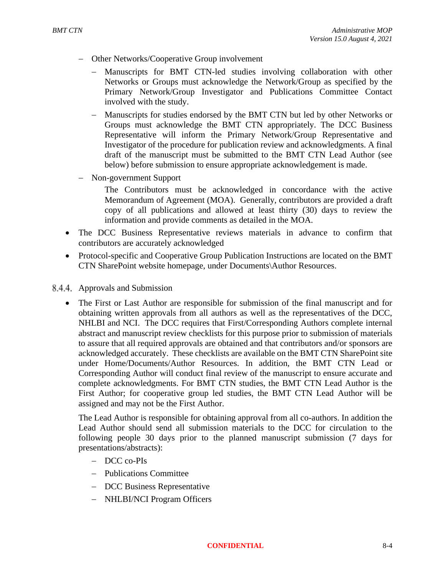- − Other Networks/Cooperative Group involvement
	- − Manuscripts for BMT CTN-led studies involving collaboration with other Networks or Groups must acknowledge the Network/Group as specified by the Primary Network/Group Investigator and Publications Committee Contact involved with the study.
	- − Manuscripts for studies endorsed by the BMT CTN but led by other Networks or Groups must acknowledge the BMT CTN appropriately. The DCC Business Representative will inform the Primary Network/Group Representative and Investigator of the procedure for publication review and acknowledgments. A final draft of the manuscript must be submitted to the BMT CTN Lead Author (see below) before submission to ensure appropriate acknowledgement is made.
- − Non-government Support

The Contributors must be acknowledged in concordance with the active Memorandum of Agreement (MOA). Generally, contributors are provided a draft copy of all publications and allowed at least thirty (30) days to review the information and provide comments as detailed in the MOA.

- The DCC Business Representative reviews materials in advance to confirm that contributors are accurately acknowledged
- Protocol-specific and Cooperative Group Publication Instructions are located on the BMT CTN SharePoint website homepage, under Documents\Author Resources.
- 8.4.4. Approvals and Submission
	- The First or Last Author are responsible for submission of the final manuscript and for obtaining written approvals from all authors as well as the representatives of the DCC, NHLBI and NCI. The DCC requires that First/Corresponding Authors complete internal abstract and manuscript review checklists for this purpose prior to submission of materials to assure that all required approvals are obtained and that contributors and/or sponsors are acknowledged accurately. These checklists are available on the BMT CTN SharePoint site under Home/Documents/Author Resources. In addition, the BMT CTN Lead or Corresponding Author will conduct final review of the manuscript to ensure accurate and complete acknowledgments. For BMT CTN studies, the BMT CTN Lead Author is the First Author; for cooperative group led studies, the BMT CTN Lead Author will be assigned and may not be the First Author.

The Lead Author is responsible for obtaining approval from all co-authors. In addition the Lead Author should send all submission materials to the DCC for circulation to the following people 30 days prior to the planned manuscript submission (7 days for presentations/abstracts):

- − DCC co-PIs
- − Publications Committee
- − DCC Business Representative
- − NHLBI/NCI Program Officers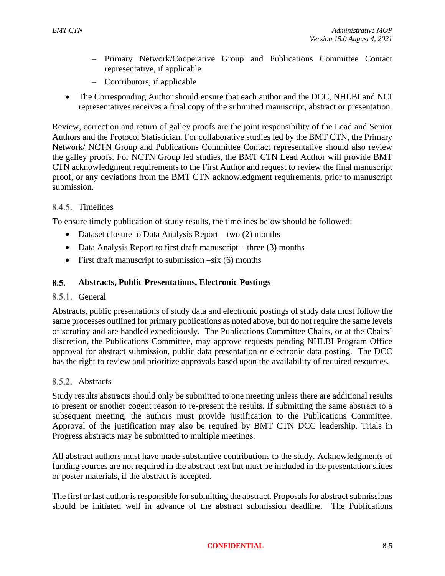- − Primary Network/Cooperative Group and Publications Committee Contact representative, if applicable
- − Contributors, if applicable
- The Corresponding Author should ensure that each author and the DCC, NHLBI and NCI representatives receives a final copy of the submitted manuscript, abstract or presentation.

Review, correction and return of galley proofs are the joint responsibility of the Lead and Senior Authors and the Protocol Statistician. For collaborative studies led by the BMT CTN, the Primary Network/ NCTN Group and Publications Committee Contact representative should also review the galley proofs. For NCTN Group led studies, the BMT CTN Lead Author will provide BMT CTN acknowledgment requirements to the First Author and request to review the final manuscript proof, or any deviations from the BMT CTN acknowledgment requirements, prior to manuscript submission.

# 8.4.5. Timelines

To ensure timely publication of study results, the timelines below should be followed:

- Dataset closure to Data Analysis Report two (2) months
- Data Analysis Report to first draft manuscript three (3) months
- First draft manuscript to submission  $-six(6)$  months

#### $8.5.$ **Abstracts, Public Presentations, Electronic Postings**

### 8.5.1. General

Abstracts, public presentations of study data and electronic postings of study data must follow the same processes outlined for primary publications as noted above, but do not require the same levels of scrutiny and are handled expeditiously. The Publications Committee Chairs, or at the Chairs' discretion, the Publications Committee, may approve requests pending NHLBI Program Office approval for abstract submission, public data presentation or electronic data posting. The DCC has the right to review and prioritize approvals based upon the availability of required resources.

### 8.5.2. Abstracts

Study results abstracts should only be submitted to one meeting unless there are additional results to present or another cogent reason to re-present the results. If submitting the same abstract to a subsequent meeting, the authors must provide justification to the Publications Committee. Approval of the justification may also be required by BMT CTN DCC leadership. Trials in Progress abstracts may be submitted to multiple meetings.

All abstract authors must have made substantive contributions to the study. Acknowledgments of funding sources are not required in the abstract text but must be included in the presentation slides or poster materials, if the abstract is accepted.

The first or last author is responsible for submitting the abstract. Proposals for abstract submissions should be initiated well in advance of the abstract submission deadline. The Publications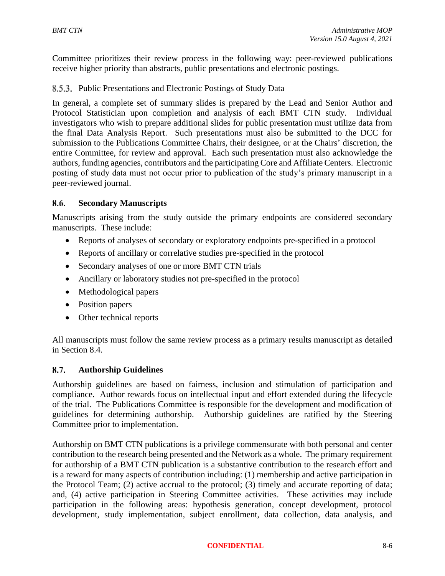Committee prioritizes their review process in the following way: peer-reviewed publications receive higher priority than abstracts, public presentations and electronic postings.

### 8.5.3. Public Presentations and Electronic Postings of Study Data

In general, a complete set of summary slides is prepared by the Lead and Senior Author and Protocol Statistician upon completion and analysis of each BMT CTN study. Individual investigators who wish to prepare additional slides for public presentation must utilize data from the final Data Analysis Report. Such presentations must also be submitted to the DCC for submission to the Publications Committee Chairs, their designee, or at the Chairs' discretion, the entire Committee, for review and approval. Each such presentation must also acknowledge the authors, funding agencies, contributors and the participating Core and Affiliate Centers. Electronic posting of study data must not occur prior to publication of the study's primary manuscript in a peer-reviewed journal.

#### 8.6. **Secondary Manuscripts**

Manuscripts arising from the study outside the primary endpoints are considered secondary manuscripts. These include:

- Reports of analyses of secondary or exploratory endpoints pre-specified in a protocol
- Reports of ancillary or correlative studies pre-specified in the protocol
- Secondary analyses of one or more BMT CTN trials
- Ancillary or laboratory studies not pre-specified in the protocol
- Methodological papers
- Position papers
- Other technical reports

All manuscripts must follow the same review process as a primary results manuscript as detailed in Section 8.4.

#### **Authorship Guidelines**  $8.7.$

Authorship guidelines are based on fairness, inclusion and stimulation of participation and compliance. Author rewards focus on intellectual input and effort extended during the lifecycle of the trial. The Publications Committee is responsible for the development and modification of guidelines for determining authorship. Authorship guidelines are ratified by the Steering Committee prior to implementation.

Authorship on BMT CTN publications is a privilege commensurate with both personal and center contribution to the research being presented and the Network as a whole. The primary requirement for authorship of a BMT CTN publication is a substantive contribution to the research effort and is a reward for many aspects of contribution including: (1) membership and active participation in the Protocol Team; (2) active accrual to the protocol; (3) timely and accurate reporting of data; and, (4) active participation in Steering Committee activities. These activities may include participation in the following areas: hypothesis generation, concept development, protocol development, study implementation, subject enrollment, data collection, data analysis, and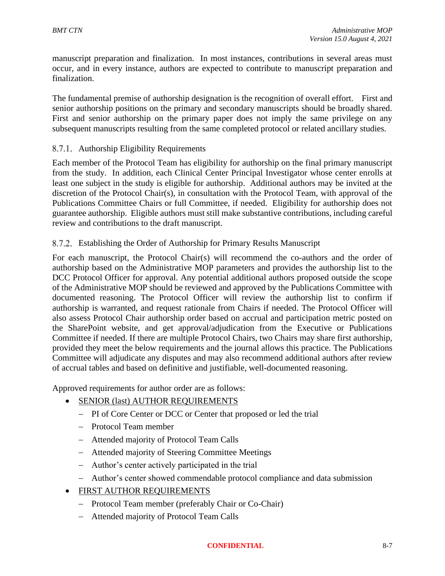manuscript preparation and finalization. In most instances, contributions in several areas must occur, and in every instance, authors are expected to contribute to manuscript preparation and finalization.

The fundamental premise of authorship designation is the recognition of overall effort. First and senior authorship positions on the primary and secondary manuscripts should be broadly shared. First and senior authorship on the primary paper does not imply the same privilege on any subsequent manuscripts resulting from the same completed protocol or related ancillary studies.

# 8.7.1. Authorship Eligibility Requirements

Each member of the Protocol Team has eligibility for authorship on the final primary manuscript from the study. In addition, each Clinical Center Principal Investigator whose center enrolls at least one subject in the study is eligible for authorship. Additional authors may be invited at the discretion of the Protocol Chair(s), in consultation with the Protocol Team, with approval of the Publications Committee Chairs or full Committee, if needed. Eligibility for authorship does not guarantee authorship. Eligible authors must still make substantive contributions, including careful review and contributions to the draft manuscript.

# Establishing the Order of Authorship for Primary Results Manuscript

For each manuscript, the Protocol Chair(s) will recommend the co-authors and the order of authorship based on the Administrative MOP parameters and provides the authorship list to the DCC Protocol Officer for approval. Any potential additional authors proposed outside the scope of the Administrative MOP should be reviewed and approved by the Publications Committee with documented reasoning. The Protocol Officer will review the authorship list to confirm if authorship is warranted, and request rationale from Chairs if needed. The Protocol Officer will also assess Protocol Chair authorship order based on accrual and participation metric posted on the SharePoint website, and get approval/adjudication from the Executive or Publications Committee if needed. If there are multiple Protocol Chairs, two Chairs may share first authorship, provided they meet the below requirements and the journal allows this practice. The Publications Committee will adjudicate any disputes and may also recommend additional authors after review of accrual tables and based on definitive and justifiable, well-documented reasoning.

Approved requirements for author order are as follows:

- SENIOR (last) AUTHOR REQUIREMENTS
	- − PI of Core Center or DCC or Center that proposed or led the trial
	- − Protocol Team member
	- − Attended majority of Protocol Team Calls
	- − Attended majority of Steering Committee Meetings
	- − Author's center actively participated in the trial
	- − Author's center showed commendable protocol compliance and data submission
- FIRST AUTHOR REQUIREMENTS
	- − Protocol Team member (preferably Chair or Co-Chair)
	- − Attended majority of Protocol Team Calls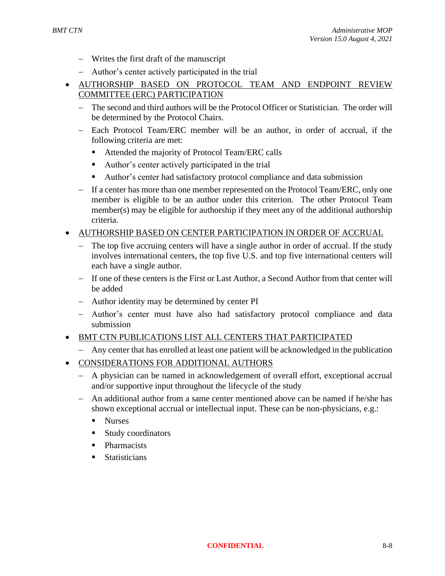- − Writes the first draft of the manuscript
- − Author's center actively participated in the trial
- AUTHORSHIP BASED ON PROTOCOL TEAM AND ENDPOINT REVIEW COMMITTEE (ERC) PARTICIPATION
	- − The second and third authors will be the Protocol Officer or Statistician. The order will be determined by the Protocol Chairs.
	- − Each Protocol Team/ERC member will be an author, in order of accrual, if the following criteria are met:
		- Attended the majority of Protocol Team/ERC calls
		- Author's center actively participated in the trial
		- Author's center had satisfactory protocol compliance and data submission
	- − If a center has more than one member represented on the Protocol Team/ERC, only one member is eligible to be an author under this criterion. The other Protocol Team member(s) may be eligible for authorship if they meet any of the additional authorship criteria.

### • AUTHORSHIP BASED ON CENTER PARTICIPATION IN ORDER OF ACCRUAL

- The top five accruing centers will have a single author in order of accrual. If the study involves international centers, the top five U.S. and top five international centers will each have a single author.
- − If one of these centers is the First or Last Author, a Second Author from that center will be added
- − Author identity may be determined by center PI
- − Author's center must have also had satisfactory protocol compliance and data submission
- BMT CTN PUBLICATIONS LIST ALL CENTERS THAT PARTICIPATED
	- − Any center that has enrolled at least one patient will be acknowledged in the publication
- CONSIDERATIONS FOR ADDITIONAL AUTHORS
	- − A physician can be named in acknowledgement of overall effort, exceptional accrual and/or supportive input throughout the lifecycle of the study
	- − An additional author from a same center mentioned above can be named if he/she has shown exceptional accrual or intellectual input. These can be non-physicians, e.g.:
		- Nurses
		- Study coordinators
		- Pharmacists
		- Statisticians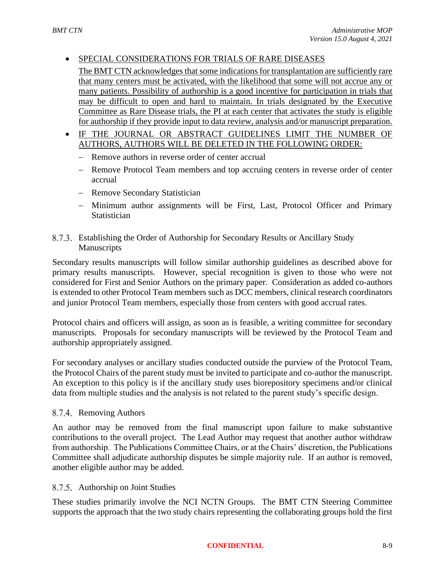# • SPECIAL CONSIDERATIONS FOR TRIALS OF RARE DISEASES

The BMT CTN acknowledges that some indications for transplantation are sufficiently rare that many centers must be activated, with the likelihood that some will not accrue any or many patients. Possibility of authorship is a good incentive for participation in trials that may be difficult to open and hard to maintain. In trials designated by the Executive Committee as Rare Disease trials, the PI at each center that activates the study is eligible for authorship if they provide input to data review, analysis and/or manuscript preparation.

- IF THE JOURNAL OR ABSTRACT GUIDELINES LIMIT THE NUMBER OF AUTHORS, AUTHORS WILL BE DELETED IN THE FOLLOWING ORDER:
	- − Remove authors in reverse order of center accrual
	- − Remove Protocol Team members and top accruing centers in reverse order of center accrual
	- − Remove Secondary Statistician
	- − Minimum author assignments will be First, Last, Protocol Officer and Primary **Statistician**

# Establishing the Order of Authorship for Secondary Results or Ancillary Study Manuscripts

Secondary results manuscripts will follow similar authorship guidelines as described above for primary results manuscripts. However, special recognition is given to those who were not considered for First and Senior Authors on the primary paper. Consideration as added co-authors is extended to other Protocol Team members such as DCC members, clinical research coordinators and junior Protocol Team members, especially those from centers with good accrual rates.

Protocol chairs and officers will assign, as soon as is feasible, a writing committee for secondary manuscripts. Proposals for secondary manuscripts will be reviewed by the Protocol Team and authorship appropriately assigned.

For secondary analyses or ancillary studies conducted outside the purview of the Protocol Team, the Protocol Chairs of the parent study must be invited to participate and co-author the manuscript. An exception to this policy is if the ancillary study uses biorepository specimens and/or clinical data from multiple studies and the analysis is not related to the parent study's specific design.

### 8.7.4. Removing Authors

An author may be removed from the final manuscript upon failure to make substantive contributions to the overall project. The Lead Author may request that another author withdraw from authorship. The Publications Committee Chairs, or at the Chairs' discretion, the Publications Committee shall adjudicate authorship disputes be simple majority rule. If an author is removed, another eligible author may be added.

### 8.7.5. Authorship on Joint Studies

These studies primarily involve the NCI NCTN Groups. The BMT CTN Steering Committee supports the approach that the two study chairs representing the collaborating groups hold the first